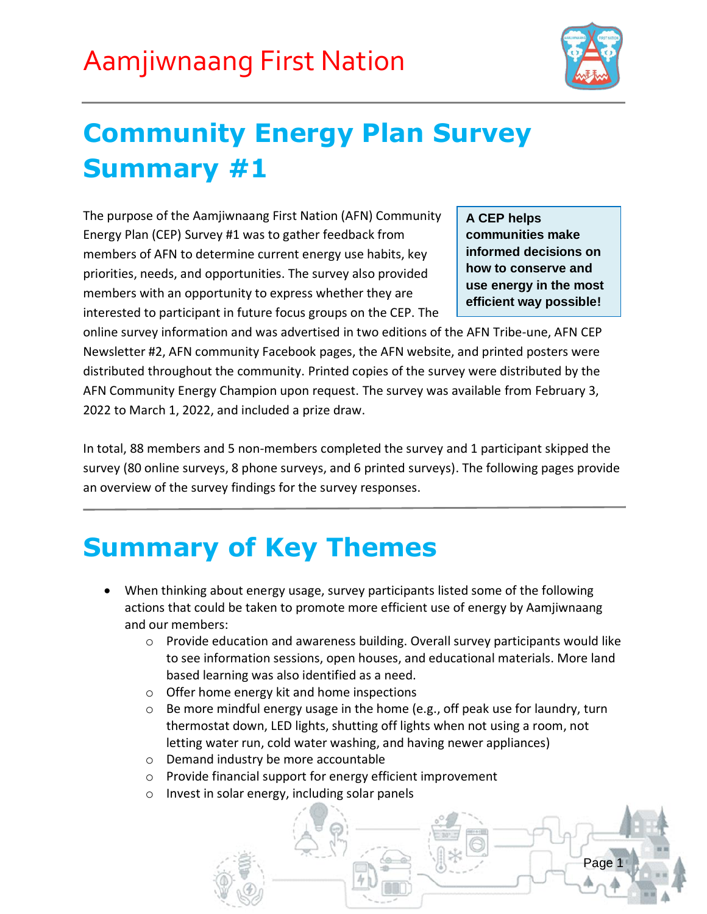

Page

### **Community Energy Plan Survey Summary #1**

The purpose of the Aamjiwnaang First Nation (AFN) Community Energy Plan (CEP) Survey #1 was to gather feedback from members of AFN to determine current energy use habits, key priorities, needs, and opportunities. The survey also provided members with an opportunity to express whether they are interested to participant in future focus groups on the CEP. The

**A CEP helps communities make informed decisions on how to conserve and use energy in the most efficient way possible!**

online survey information and was advertised in two editions of the AFN Tribe-une, AFN CEP Newsletter #2, AFN community Facebook pages, the AFN website, and printed posters were distributed throughout the community. Printed copies of the survey were distributed by the AFN Community Energy Champion upon request. The survey was available from February 3, 2022 to March 1, 2022, and included a prize draw.

In total, 88 members and 5 non-members completed the survey and 1 participant skipped the survey (80 online surveys, 8 phone surveys, and 6 printed surveys). The following pages provide an overview of the survey findings for the survey responses.

### **Summary of Key Themes**

- When thinking about energy usage, survey participants listed some of the following actions that could be taken to promote more efficient use of energy by Aamjiwnaang and our members:
	- o Provide education and awareness building. Overall survey participants would like to see information sessions, open houses, and educational materials. More land based learning was also identified as a need.
	- o Offer home energy kit and home inspections
	- o Be more mindful energy usage in the home (e.g., off peak use for laundry, turn thermostat down, LED lights, shutting off lights when not using a room, not letting water run, cold water washing, and having newer appliances)
	- o Demand industry be more accountable
	- o Provide financial support for energy efficient improvement
	- o Invest in solar energy, including solar panels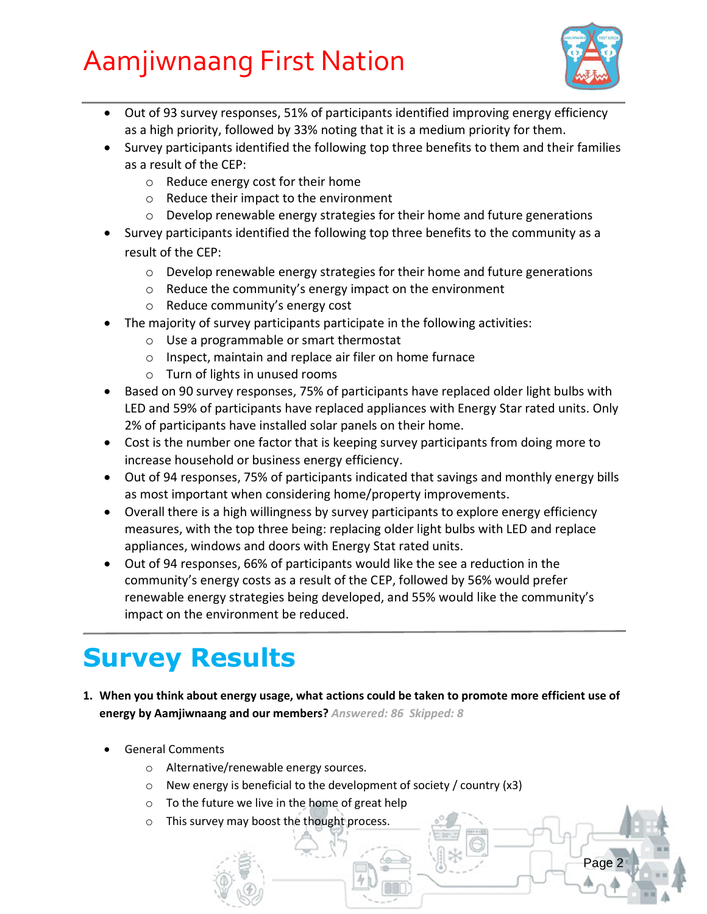

Page 2

- Out of 93 survey responses, 51% of participants identified improving energy efficiency as a high priority, followed by 33% noting that it is a medium priority for them.
- Survey participants identified the following top three benefits to them and their families as a result of the CEP:
	- o Reduce energy cost for their home
	- o Reduce their impact to the environment
	- o Develop renewable energy strategies for their home and future generations
- Survey participants identified the following top three benefits to the community as a result of the CEP:
	- $\circ$  Develop renewable energy strategies for their home and future generations
	- o Reduce the community's energy impact on the environment
	- o Reduce community's energy cost
- The majority of survey participants participate in the following activities:
	- o Use a programmable or smart thermostat
	- o Inspect, maintain and replace air filer on home furnace
	- o Turn of lights in unused rooms
- Based on 90 survey responses, 75% of participants have replaced older light bulbs with LED and 59% of participants have replaced appliances with Energy Star rated units. Only 2% of participants have installed solar panels on their home.
- Cost is the number one factor that is keeping survey participants from doing more to increase household or business energy efficiency.
- Out of 94 responses, 75% of participants indicated that savings and monthly energy bills as most important when considering home/property improvements.
- Overall there is a high willingness by survey participants to explore energy efficiency measures, with the top three being: replacing older light bulbs with LED and replace appliances, windows and doors with Energy Stat rated units.
- Out of 94 responses, 66% of participants would like the see a reduction in the community's energy costs as a result of the CEP, followed by 56% would prefer renewable energy strategies being developed, and 55% would like the community's impact on the environment be reduced.

### **Survey Results**

- **1. When you think about energy usage, what actions could be taken to promote more efficient use of energy by Aamjiwnaang and our members?** *Answered: 86 Skipped: 8*
	- General Comments
		- o Alternative/renewable energy sources.
		- o New energy is beneficial to the development of society / country (x3)
		- o To the future we live in the home of great help
		- o This survey may boost the thought process.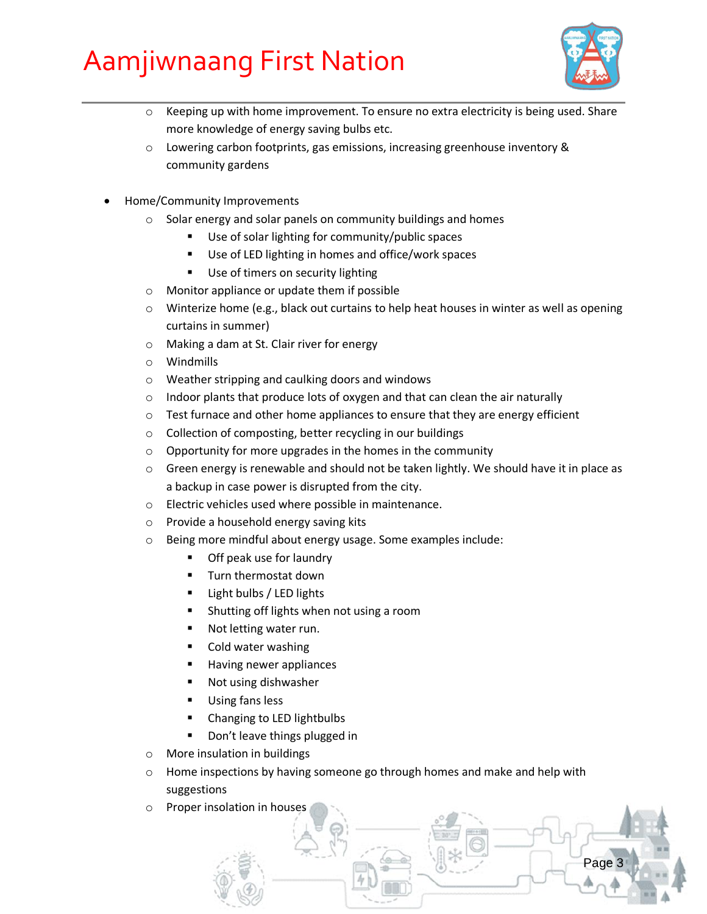

Page 3

- $\circ$  Keeping up with home improvement. To ensure no extra electricity is being used. Share more knowledge of energy saving bulbs etc.
- $\circ$  Lowering carbon footprints, gas emissions, increasing greenhouse inventory & community gardens
- Home/Community Improvements
	- o Solar energy and solar panels on community buildings and homes
		- Use of solar lighting for community/public spaces
		- Use of LED lighting in homes and office/work spaces
		- Use of timers on security lighting
	- o Monitor appliance or update them if possible
	- o Winterize home (e.g., black out curtains to help heat houses in winter as well as opening curtains in summer)
	- o Making a dam at St. Clair river for energy
	- o Windmills
	- o Weather stripping and caulking doors and windows
	- $\circ$  Indoor plants that produce lots of oxygen and that can clean the air naturally
	- $\circ$  Test furnace and other home appliances to ensure that they are energy efficient
	- o Collection of composting, better recycling in our buildings
	- o Opportunity for more upgrades in the homes in the community
	- o Green energy is renewable and should not be taken lightly. We should have it in place as a backup in case power is disrupted from the city.
	- o Electric vehicles used where possible in maintenance.
	- o Provide a household energy saving kits
	- o Being more mindful about energy usage. Some examples include:
		- **Off peak use for laundry**
		- **Turn thermostat down**
		- Light bulbs / LED lights
		- **Shutting off lights when not using a room**
		- Not letting water run.
		- Cold water washing
		- Having newer appliances
		- Not using dishwasher
		- **Using fans less**
		- **EXEC** Changing to LED lightbulbs
		- **Don't leave things plugged in**
	- o More insulation in buildings
	- $\circ$  Home inspections by having someone go through homes and make and help with suggestions
	- o Proper insolation in houses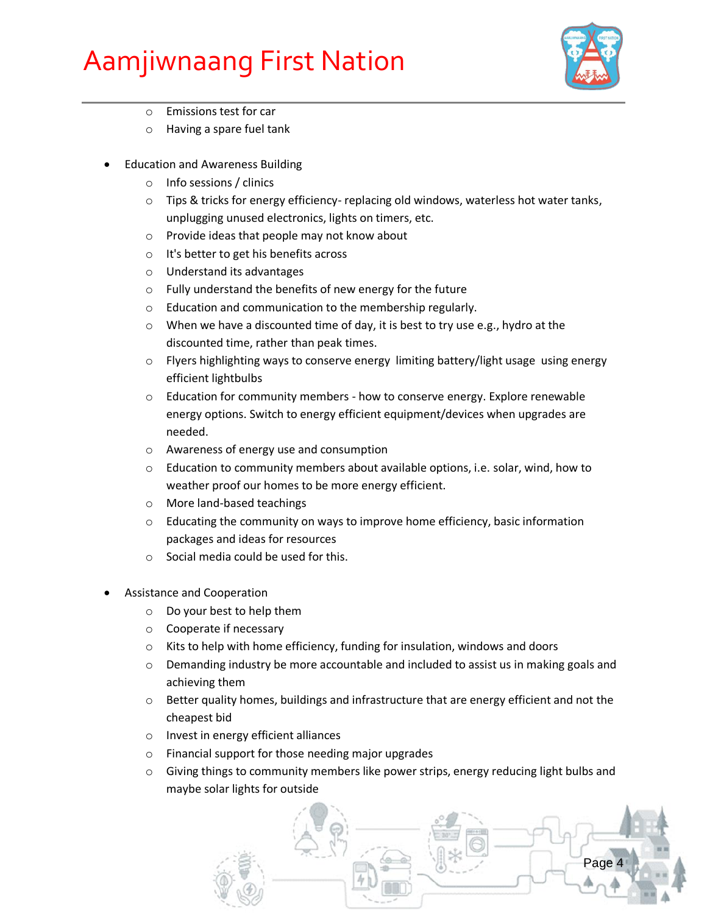

- o Emissions test for car
- o Having a spare fuel tank
- Education and Awareness Building
	- o Info sessions / clinics
	- $\circ$  Tips & tricks for energy efficiency- replacing old windows, waterless hot water tanks, unplugging unused electronics, lights on timers, etc.
	- o Provide ideas that people may not know about
	- o It's better to get his benefits across
	- o Understand its advantages
	- o Fully understand the benefits of new energy for the future
	- o Education and communication to the membership regularly.
	- o When we have a discounted time of day, it is best to try use e.g., hydro at the discounted time, rather than peak times.
	- $\circ$  Flyers highlighting ways to conserve energy limiting battery/light usage using energy efficient lightbulbs
	- o Education for community members how to conserve energy. Explore renewable energy options. Switch to energy efficient equipment/devices when upgrades are needed.
	- o Awareness of energy use and consumption
	- $\circ$  Education to community members about available options, i.e. solar, wind, how to weather proof our homes to be more energy efficient.
	- o More land-based teachings
	- $\circ$  Educating the community on ways to improve home efficiency, basic information packages and ideas for resources
	- o Social media could be used for this.
- Assistance and Cooperation
	- o Do your best to help them
	- o Cooperate if necessary
	- o Kits to help with home efficiency, funding for insulation, windows and doors
	- $\circ$  Demanding industry be more accountable and included to assist us in making goals and achieving them
	- $\circ$  Better quality homes, buildings and infrastructure that are energy efficient and not the cheapest bid
	- o Invest in energy efficient alliances
	- o Financial support for those needing major upgrades
	- $\circ$  Giving things to community members like power strips, energy reducing light bulbs and maybe solar lights for outside

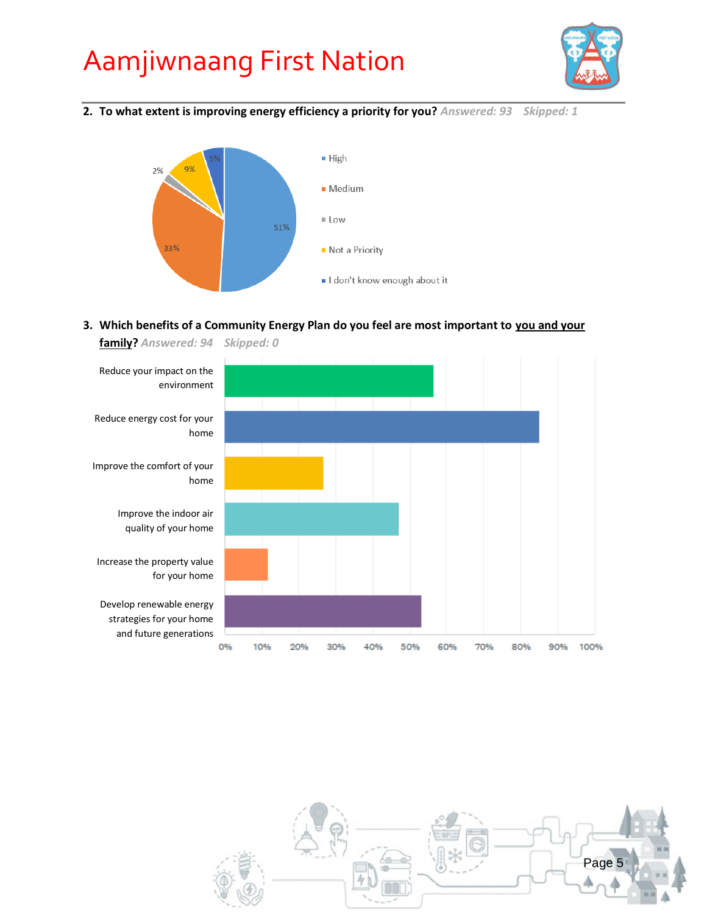

**2. To what extent is improving energy efficiency a priority for you?** *Answered: 93 Skipped: 1*



#### **3. Which benefits of a Community Energy Plan do you feel are most important to you and your**





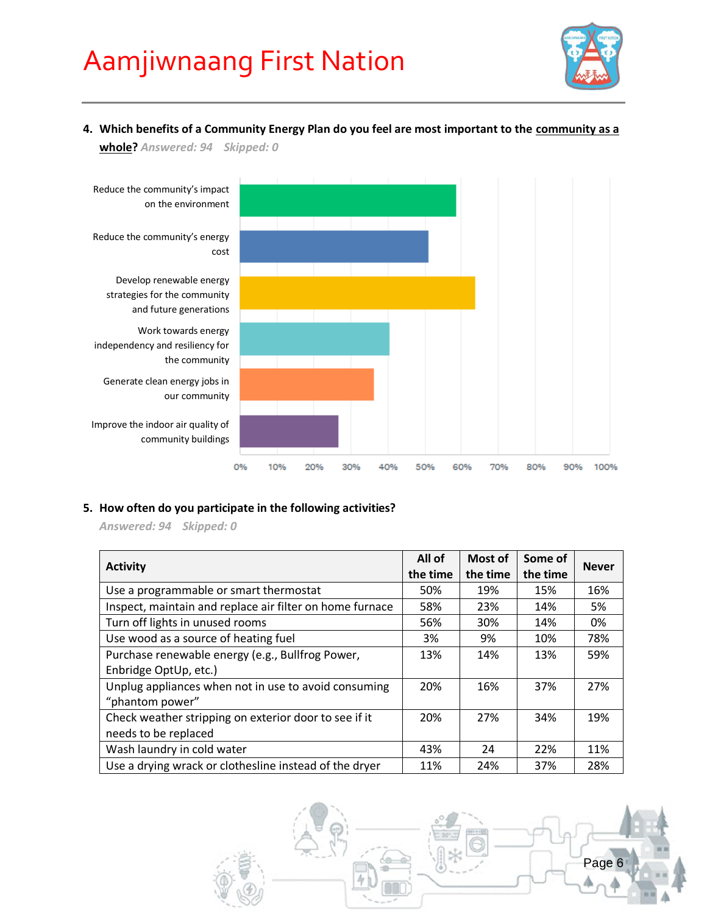

**4. Which benefits of a Community Energy Plan do you feel are most important to the community as a whole?** *Answered: 94 Skipped: 0*



#### **5. How often do you participate in the following activities?**

*Answered: 94 Skipped: 0*

| <b>Activity</b>                                          | All of<br>the time | Most of<br>the time | Some of<br>the time | <b>Never</b> |  |
|----------------------------------------------------------|--------------------|---------------------|---------------------|--------------|--|
| Use a programmable or smart thermostat                   | 50%                | 19%                 | 15%                 | 16%          |  |
| Inspect, maintain and replace air filter on home furnace | 58%                | 23%                 | 14%                 | 5%           |  |
| Turn off lights in unused rooms                          | 56%                | 30%                 | 14%                 | 0%           |  |
| Use wood as a source of heating fuel                     | 3%                 | 9%                  | 10%                 | 78%          |  |
| Purchase renewable energy (e.g., Bullfrog Power,         | 13%                | 14%                 | 13%                 | 59%          |  |
| Enbridge OptUp, etc.)                                    |                    |                     |                     |              |  |
| Unplug appliances when not in use to avoid consuming     | 20%                | 16%                 | 37%                 | 27%          |  |
| "phantom power"                                          |                    |                     |                     |              |  |
| Check weather stripping on exterior door to see if it    | 20%                | 27%                 | 34%                 | 19%          |  |
| needs to be replaced                                     |                    |                     |                     |              |  |
| Wash laundry in cold water                               | 43%                | 24                  | 22%                 | 11%          |  |
| Use a drying wrack or clothesline instead of the dryer   | 11%                | 24%                 | 37%                 | 28%          |  |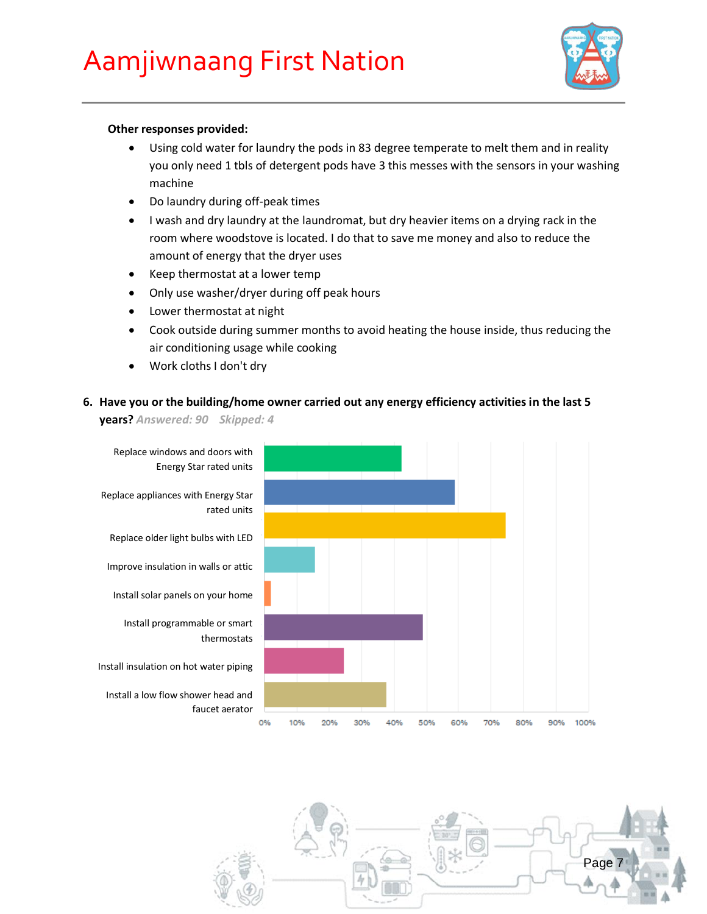

#### **Other responses provided:**

- Using cold water for laundry the pods in 83 degree temperate to melt them and in reality you only need 1 tbls of detergent pods have 3 this messes with the sensors in your washing machine
- Do laundry during off-peak times
- I wash and dry laundry at the laundromat, but dry heavier items on a drying rack in the room where woodstove is located. I do that to save me money and also to reduce the amount of energy that the dryer uses
- Keep thermostat at a lower temp
- Only use washer/dryer during off peak hours
- Lower thermostat at night
- Cook outside during summer months to avoid heating the house inside, thus reducing the air conditioning usage while cooking
- Work cloths I don't dry

#### **6. Have you or the building/home owner carried out any energy efficiency activities in the last 5**

**years?** *Answered: 90 Skipped: 4*



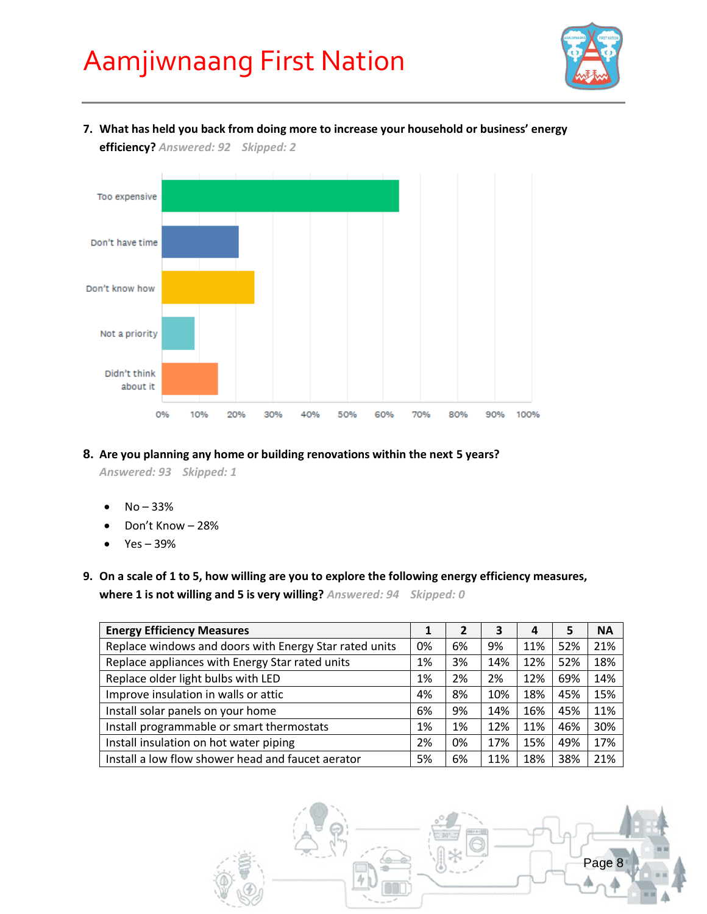

#### **7. What has held you back from doing more to increase your household or business' energy**

**efficiency?** *Answered: 92 Skipped: 2*



#### **8. Are you planning any home or building renovations within the next 5 years?**

*Answered: 93 Skipped: 1*

- No 33%
- Don't Know 28%
- Yes 39%
- **9. On a scale of 1 to 5, how willing are you to explore the following energy efficiency measures, where 1 is not willing and 5 is very willing?** *Answered: 94 Skipped: 0*

| <b>Energy Efficiency Measures</b>                      |    |    | 3   | 4   | 5   | <b>NA</b> |
|--------------------------------------------------------|----|----|-----|-----|-----|-----------|
| Replace windows and doors with Energy Star rated units | 0% | 6% | 9%  | 11% | 52% | 21%       |
| Replace appliances with Energy Star rated units        | 1% | 3% | 14% | 12% | 52% | 18%       |
| Replace older light bulbs with LED                     | 1% | 2% | 2%  | 12% | 69% | 14%       |
| Improve insulation in walls or attic                   | 4% | 8% | 10% | 18% | 45% | 15%       |
| Install solar panels on your home                      | 6% | 9% | 14% | 16% | 45% | 11%       |
| Install programmable or smart thermostats              | 1% | 1% | 12% | 11% | 46% | 30%       |
| Install insulation on hot water piping                 | 2% | 0% | 17% | 15% | 49% | 17%       |
| Install a low flow shower head and faucet aerator      | 5% | 6% | 11% | 18% | 38% | 21%       |

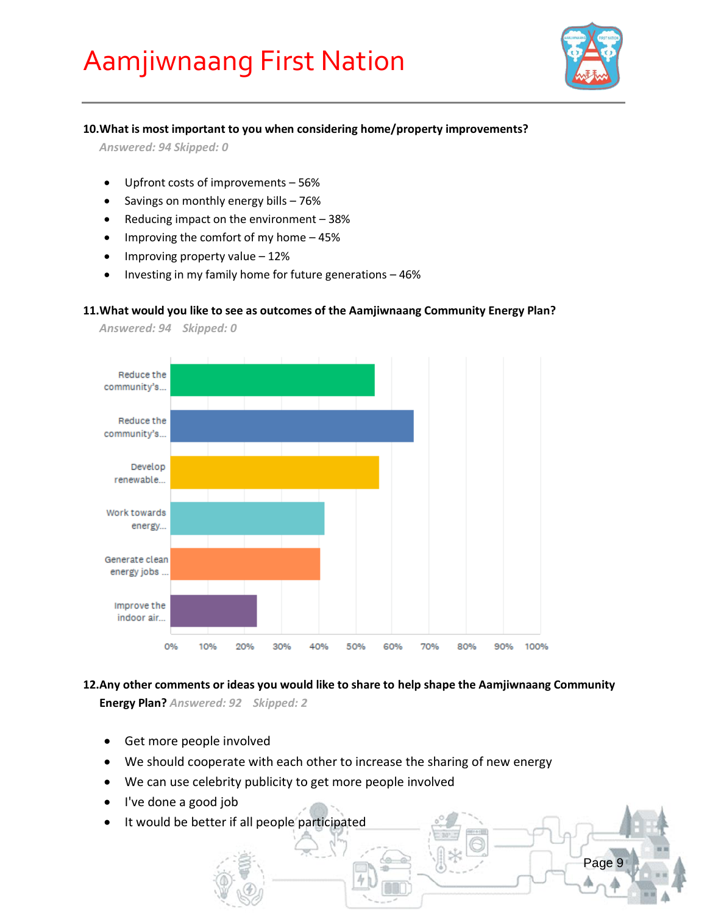

Page 9

#### **10.What is most important to you when considering home/property improvements?**

*Answered: 94 Skipped: 0*

- Upfront costs of improvements 56%
- Savings on monthly energy bills 76%
- Reducing impact on the environment 38%
- $\bullet$  Improving the comfort of my home  $-45\%$
- $\bullet$  Improving property value 12%
- $\bullet$  Investing in my family home for future generations  $-46\%$

#### **11.What would you like to see as outcomes of the Aamjiwnaang Community Energy Plan?**



*Answered: 94 Skipped: 0*

**12.Any other comments or ideas you would like to share to help shape the Aamjiwnaang Community Energy Plan?** *Answered: 92 Skipped: 2*

- Get more people involved
- We should cooperate with each other to increase the sharing of new energy
- We can use celebrity publicity to get more people involved
- I've done a good job
- It would be better if all people participated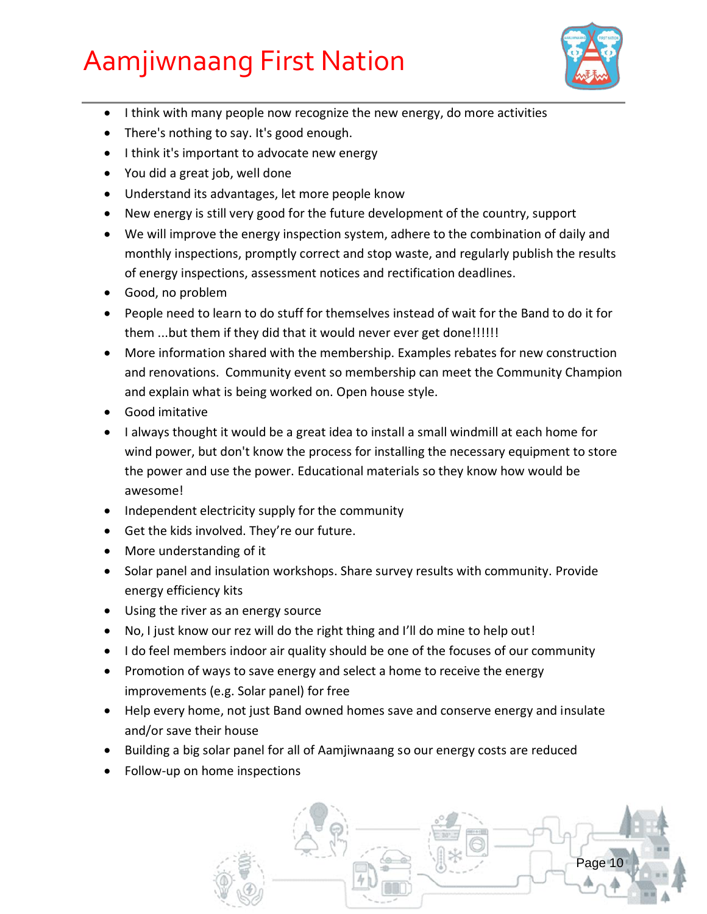

- $\bullet$  I think with many people now recognize the new energy, do more activities
- There's nothing to say. It's good enough.
- I think it's important to advocate new energy
- You did a great job, well done
- Understand its advantages, let more people know
- New energy is still very good for the future development of the country, support
- We will improve the energy inspection system, adhere to the combination of daily and monthly inspections, promptly correct and stop waste, and regularly publish the results of energy inspections, assessment notices and rectification deadlines.
- Good, no problem
- People need to learn to do stuff for themselves instead of wait for the Band to do it for them ...but them if they did that it would never ever get done!!!!!!
- More information shared with the membership. Examples rebates for new construction and renovations. Community event so membership can meet the Community Champion and explain what is being worked on. Open house style.
- Good imitative
- I always thought it would be a great idea to install a small windmill at each home for wind power, but don't know the process for installing the necessary equipment to store the power and use the power. Educational materials so they know how would be awesome!
- Independent electricity supply for the community
- Get the kids involved. They're our future.
- More understanding of it
- Solar panel and insulation workshops. Share survey results with community. Provide energy efficiency kits
- Using the river as an energy source
- No, I just know our rez will do the right thing and I'll do mine to help out!
- I do feel members indoor air quality should be one of the focuses of our community
- Promotion of ways to save energy and select a home to receive the energy improvements (e.g. Solar panel) for free
- Help every home, not just Band owned homes save and conserve energy and insulate and/or save their house
- Building a big solar panel for all of Aamjiwnaang so our energy costs are reduced
- Follow-up on home inspections

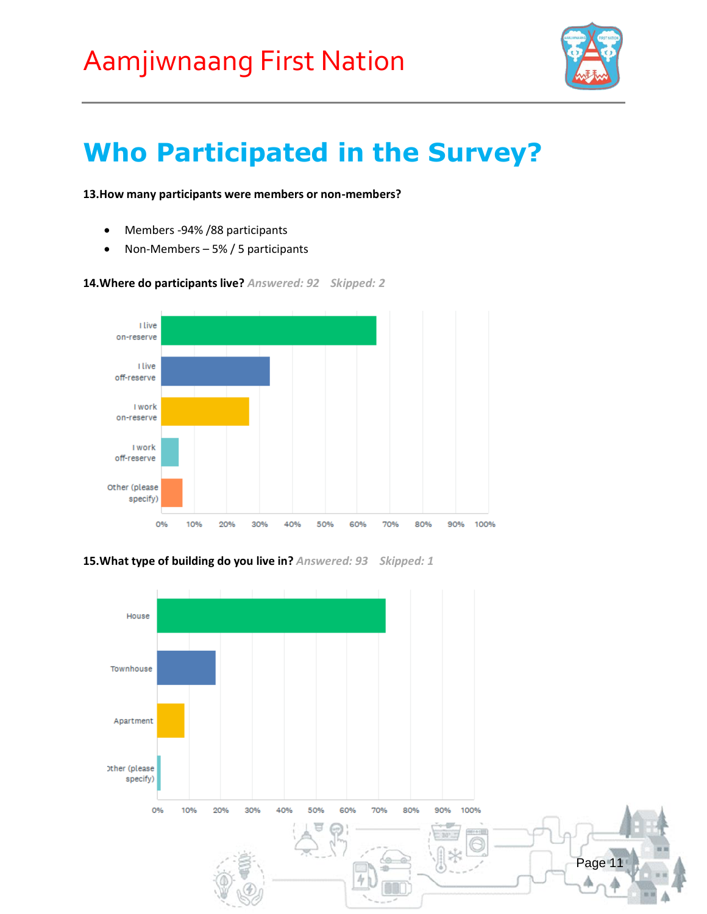

### **Who Participated in the Survey?**

#### **13.How many participants were members or non-members?**

- Members -94% / 88 participants
- Non-Members 5% / 5 participants



**14.Where do participants live?** *Answered: 92 Skipped: 2*

**15.What type of building do you live in?** *Answered: 93 Skipped: 1*